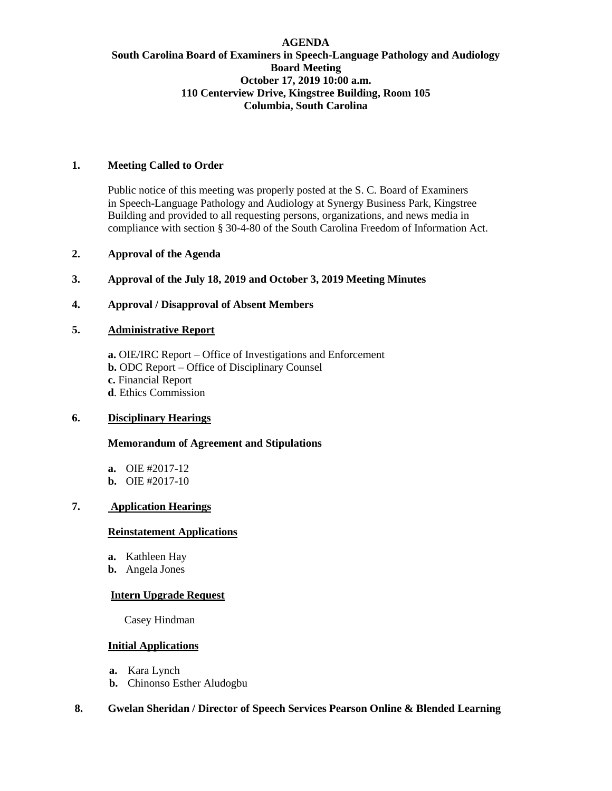## **AGENDA South Carolina Board of Examiners in Speech-Language Pathology and Audiology Board Meeting October 17, 2019 10:00 a.m. 110 Centerview Drive, Kingstree Building, Room 105 Columbia, South Carolina**

# **1. Meeting Called to Order**

Public notice of this meeting was properly posted at the S. C. Board of Examiners in Speech-Language Pathology and Audiology at Synergy Business Park, Kingstree Building and provided to all requesting persons, organizations, and news media in compliance with section § 30-4-80 of the South Carolina Freedom of Information Act.

## **2. Approval of the Agenda**

**3. Approval of the July 18, 2019 and October 3, 2019 Meeting Minutes**

### **4. Approval / Disapproval of Absent Members**

## **5. Administrative Report**

**a.** OIE/IRC Report – Office of Investigations and Enforcement **b.** ODC Report – Office of Disciplinary Counsel **c.** Financial Report **d**. Ethics Commission

## **6. Disciplinary Hearings**

#### **Memorandum of Agreement and Stipulations**

**a.** OIE #2017-12 **b.** OIE #2017-10

## **7. Application Hearings**

#### **Reinstatement Applications**

- **a.** Kathleen Hay
- **b.** Angela Jones

### **Intern Upgrade Request**

Casey Hindman

## **Initial Applications**

- **a.** Kara Lynch
- **b.** Chinonso Esther Aludogbu

## **8. Gwelan Sheridan / Director of Speech Services Pearson Online & Blended Learning**